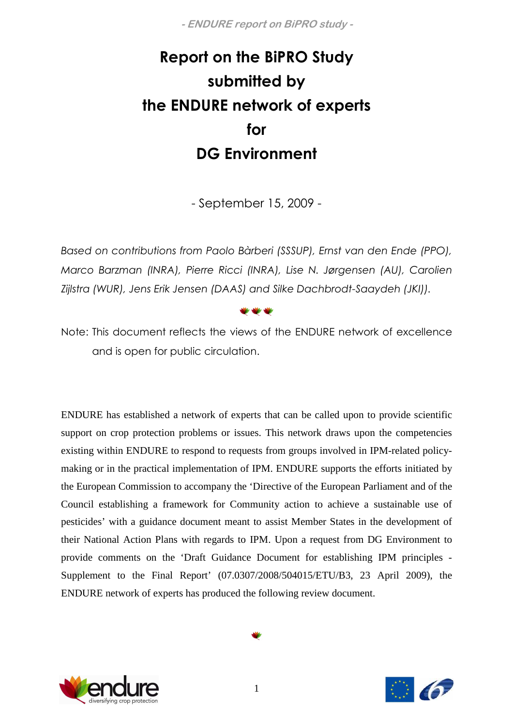# Report on the BiPRO Study submitted by the ENDURE network of experts for DG Environment

- September 15, 2009 -

Based on contributions from Paolo Bàrberi (SSSUP), Ernst van den Ende (PPO), Marco Barzman (INRA), Pierre Ricci (INRA), Lise N. Jørgensen (AU), Carolien Zijlstra (WUR), Jens Erik Jensen (DAAS) and Silke Dachbrodt-Saaydeh (JKI)).



Note: This document reflects the views of the ENDURE network of excellence and is open for public circulation.

ENDURE has established a network of experts that can be called upon to provide scientific support on crop protection problems or issues. This network draws upon the competencies existing within ENDURE to respond to requests from groups involved in IPM-related policymaking or in the practical implementation of IPM. ENDURE supports the efforts initiated by the European Commission to accompany the 'Directive of the European Parliament and of the Council establishing a framework for Community action to achieve a sustainable use of pesticides' with a guidance document meant to assist Member States in the development of their National Action Plans with regards to IPM. Upon a request from DG Environment to provide comments on the 'Draft Guidance Document for establishing IPM principles - Supplement to the Final Report' (07.0307/2008/504015/ETU/B3, 23 April 2009), the ENDURE network of experts has produced the following review document.



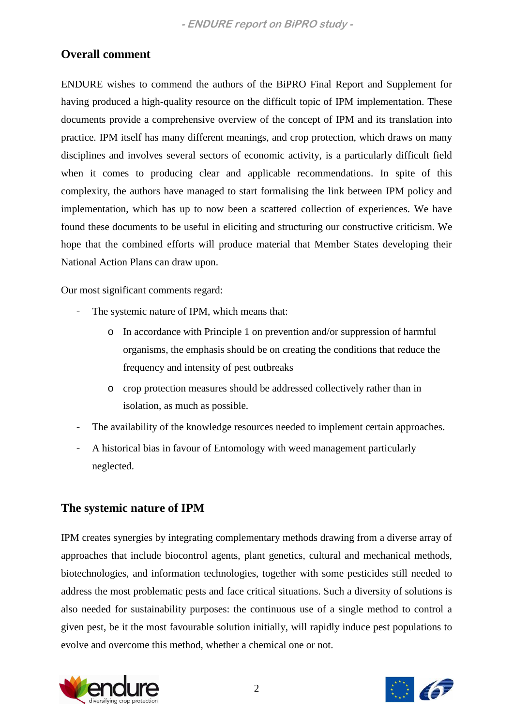## **Overall comment**

ENDURE wishes to commend the authors of the BiPRO Final Report and Supplement for having produced a high-quality resource on the difficult topic of IPM implementation. These documents provide a comprehensive overview of the concept of IPM and its translation into practice. IPM itself has many different meanings, and crop protection, which draws on many disciplines and involves several sectors of economic activity, is a particularly difficult field when it comes to producing clear and applicable recommendations. In spite of this complexity, the authors have managed to start formalising the link between IPM policy and implementation, which has up to now been a scattered collection of experiences. We have found these documents to be useful in eliciting and structuring our constructive criticism. We hope that the combined efforts will produce material that Member States developing their National Action Plans can draw upon.

Our most significant comments regard:

- The systemic nature of IPM, which means that:
	- o In accordance with Principle 1 on prevention and/or suppression of harmful organisms, the emphasis should be on creating the conditions that reduce the frequency and intensity of pest outbreaks
	- o crop protection measures should be addressed collectively rather than in isolation, as much as possible.
- The availability of the knowledge resources needed to implement certain approaches.
- A historical bias in favour of Entomology with weed management particularly neglected.

## **The systemic nature of IPM**

IPM creates synergies by integrating complementary methods drawing from a diverse array of approaches that include biocontrol agents, plant genetics, cultural and mechanical methods, biotechnologies, and information technologies, together with some pesticides still needed to address the most problematic pests and face critical situations. Such a diversity of solutions is also needed for sustainability purposes: the continuous use of a single method to control a given pest, be it the most favourable solution initially, will rapidly induce pest populations to evolve and overcome this method, whether a chemical one or not.



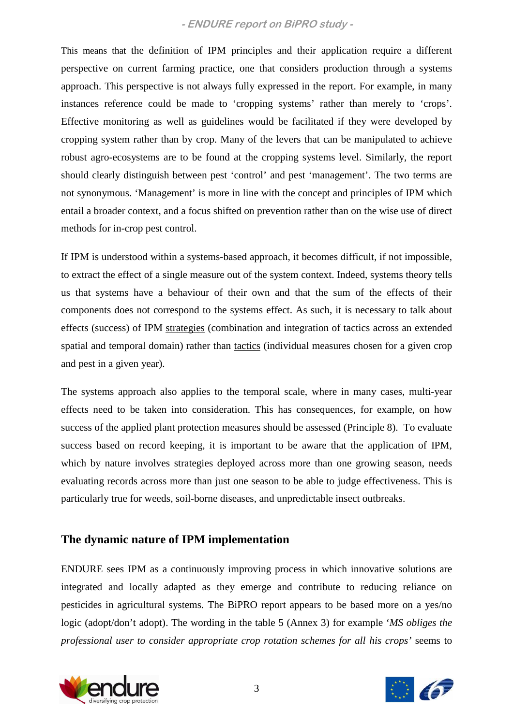This means that the definition of IPM principles and their application require a different perspective on current farming practice, one that considers production through a systems approach. This perspective is not always fully expressed in the report. For example, in many instances reference could be made to 'cropping systems' rather than merely to 'crops'. Effective monitoring as well as guidelines would be facilitated if they were developed by cropping system rather than by crop. Many of the levers that can be manipulated to achieve robust agro-ecosystems are to be found at the cropping systems level. Similarly, the report should clearly distinguish between pest 'control' and pest 'management'. The two terms are not synonymous. 'Management' is more in line with the concept and principles of IPM which entail a broader context, and a focus shifted on prevention rather than on the wise use of direct methods for in-crop pest control.

If IPM is understood within a systems-based approach, it becomes difficult, if not impossible, to extract the effect of a single measure out of the system context. Indeed, systems theory tells us that systems have a behaviour of their own and that the sum of the effects of their components does not correspond to the systems effect. As such, it is necessary to talk about effects (success) of IPM strategies (combination and integration of tactics across an extended spatial and temporal domain) rather than tactics (individual measures chosen for a given crop and pest in a given year).

The systems approach also applies to the temporal scale, where in many cases, multi-year effects need to be taken into consideration. This has consequences, for example, on how success of the applied plant protection measures should be assessed (Principle 8). To evaluate success based on record keeping, it is important to be aware that the application of IPM, which by nature involves strategies deployed across more than one growing season, needs evaluating records across more than just one season to be able to judge effectiveness. This is particularly true for weeds, soil-borne diseases, and unpredictable insect outbreaks.

## **The dynamic nature of IPM implementation**

ENDURE sees IPM as a continuously improving process in which innovative solutions are integrated and locally adapted as they emerge and contribute to reducing reliance on pesticides in agricultural systems. The BiPRO report appears to be based more on a yes/no logic (adopt/don't adopt). The wording in the table 5 (Annex 3) for example '*MS obliges the professional user to consider appropriate crop rotation schemes for all his crops'* seems to



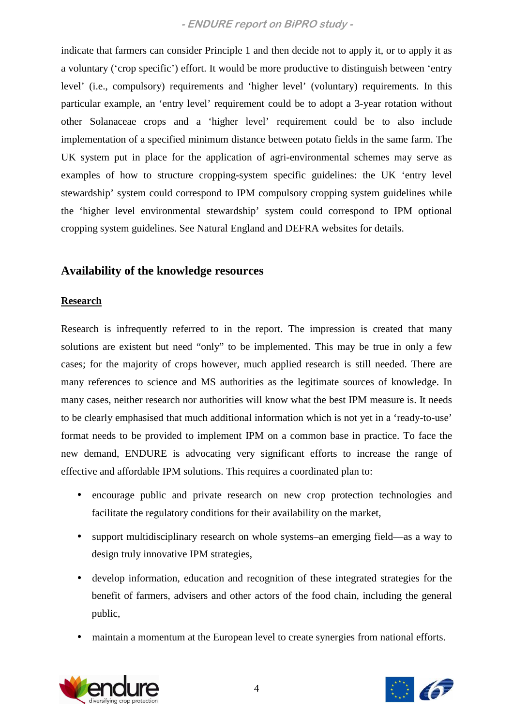indicate that farmers can consider Principle 1 and then decide not to apply it, or to apply it as a voluntary ('crop specific') effort. It would be more productive to distinguish between 'entry level' (i.e., compulsory) requirements and 'higher level' (voluntary) requirements. In this particular example, an 'entry level' requirement could be to adopt a 3-year rotation without other Solanaceae crops and a 'higher level' requirement could be to also include implementation of a specified minimum distance between potato fields in the same farm. The UK system put in place for the application of agri-environmental schemes may serve as examples of how to structure cropping-system specific guidelines: the UK 'entry level stewardship' system could correspond to IPM compulsory cropping system guidelines while the 'higher level environmental stewardship' system could correspond to IPM optional cropping system guidelines. See Natural England and DEFRA websites for details.

## **Availability of the knowledge resources**

#### **Research**

Research is infrequently referred to in the report. The impression is created that many solutions are existent but need "only" to be implemented. This may be true in only a few cases; for the majority of crops however, much applied research is still needed. There are many references to science and MS authorities as the legitimate sources of knowledge. In many cases, neither research nor authorities will know what the best IPM measure is. It needs to be clearly emphasised that much additional information which is not yet in a 'ready-to-use' format needs to be provided to implement IPM on a common base in practice. To face the new demand, ENDURE is advocating very significant efforts to increase the range of effective and affordable IPM solutions. This requires a coordinated plan to:

- encourage public and private research on new crop protection technologies and facilitate the regulatory conditions for their availability on the market,
- support multidisciplinary research on whole systems–an emerging field—as a way to design truly innovative IPM strategies,
- develop information, education and recognition of these integrated strategies for the benefit of farmers, advisers and other actors of the food chain, including the general public,
- maintain a momentum at the European level to create synergies from national efforts.



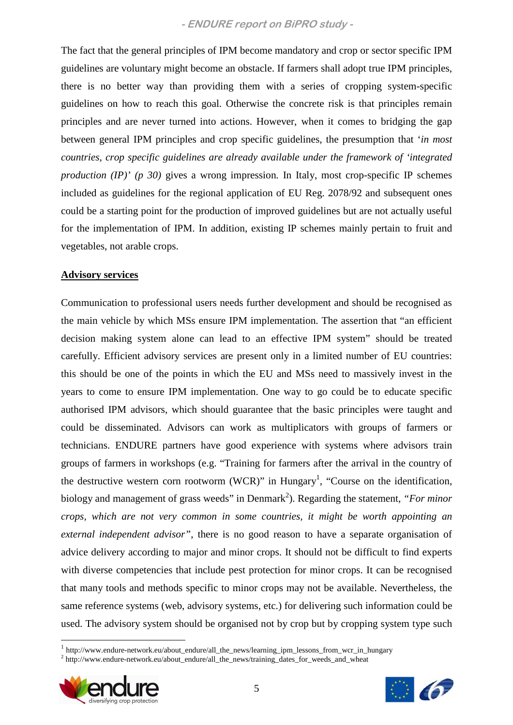The fact that the general principles of IPM become mandatory and crop or sector specific IPM guidelines are voluntary might become an obstacle. If farmers shall adopt true IPM principles, there is no better way than providing them with a series of cropping system-specific guidelines on how to reach this goal. Otherwise the concrete risk is that principles remain principles and are never turned into actions. However, when it comes to bridging the gap between general IPM principles and crop specific guidelines, the presumption that '*in most countries, crop specific guidelines are already available under the framework of 'integrated production (IP)' (p 30)* gives a wrong impression. In Italy, most crop-specific IP schemes included as guidelines for the regional application of EU Reg. 2078/92 and subsequent ones could be a starting point for the production of improved guidelines but are not actually useful for the implementation of IPM. In addition, existing IP schemes mainly pertain to fruit and vegetables, not arable crops.

#### **Advisory services**

Communication to professional users needs further development and should be recognised as the main vehicle by which MSs ensure IPM implementation. The assertion that "an efficient decision making system alone can lead to an effective IPM system" should be treated carefully. Efficient advisory services are present only in a limited number of EU countries: this should be one of the points in which the EU and MSs need to massively invest in the years to come to ensure IPM implementation. One way to go could be to educate specific authorised IPM advisors, which should guarantee that the basic principles were taught and could be disseminated. Advisors can work as multiplicators with groups of farmers or technicians. ENDURE partners have good experience with systems where advisors train groups of farmers in workshops (e.g. "Training for farmers after the arrival in the country of the destructive western corn rootworm (WCR)" in Hungary<sup>1</sup>, "Course on the identification, biology and management of grass weeds" in Denmark<sup>2</sup>). Regarding the statement, "*For minor crops, which are not very common in some countries, it might be worth appointing an external independent advisor"*, there is no good reason to have a separate organisation of advice delivery according to major and minor crops. It should not be difficult to find experts with diverse competencies that include pest protection for minor crops. It can be recognised that many tools and methods specific to minor crops may not be available. Nevertheless, the same reference systems (web, advisory systems, etc.) for delivering such information could be used. The advisory system should be organised not by crop but by cropping system type such

<sup>&</sup>lt;sup>2</sup> http://www.endure-network.eu/about\_endure/all\_the\_news/training\_dates\_for\_weeds\_and\_wheat



 $\overline{a}$ 



<sup>&</sup>lt;sup>1</sup> http://www.endure-network.eu/about\_endure/all\_the\_news/learning\_ipm\_lessons\_from\_wcr\_in\_hungary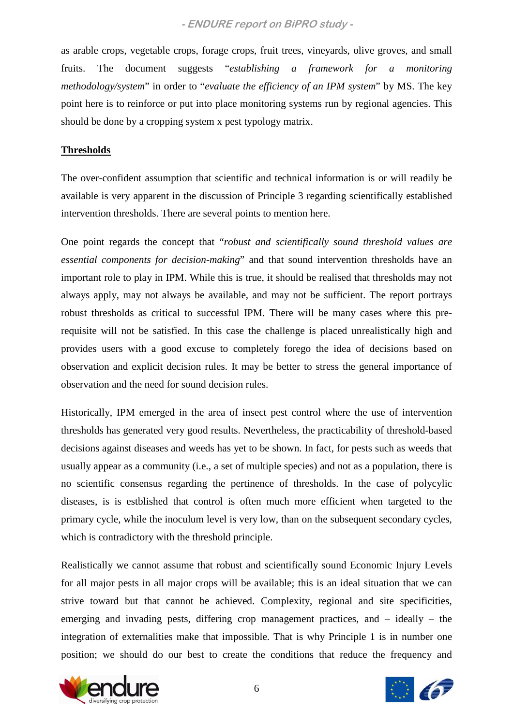as arable crops, vegetable crops, forage crops, fruit trees, vineyards, olive groves, and small fruits. The document suggests "*establishing a framework for a monitoring methodology/system*" in order to "*evaluate the efficiency of an IPM system*" by MS. The key point here is to reinforce or put into place monitoring systems run by regional agencies. This should be done by a cropping system x pest typology matrix.

#### **Thresholds**

The over-confident assumption that scientific and technical information is or will readily be available is very apparent in the discussion of Principle 3 regarding scientifically established intervention thresholds. There are several points to mention here.

One point regards the concept that "*robust and scientifically sound threshold values are essential components for decision-making*" and that sound intervention thresholds have an important role to play in IPM. While this is true, it should be realised that thresholds may not always apply, may not always be available, and may not be sufficient. The report portrays robust thresholds as critical to successful IPM. There will be many cases where this prerequisite will not be satisfied. In this case the challenge is placed unrealistically high and provides users with a good excuse to completely forego the idea of decisions based on observation and explicit decision rules. It may be better to stress the general importance of observation and the need for sound decision rules.

Historically, IPM emerged in the area of insect pest control where the use of intervention thresholds has generated very good results. Nevertheless, the practicability of threshold-based decisions against diseases and weeds has yet to be shown. In fact, for pests such as weeds that usually appear as a community (i.e., a set of multiple species) and not as a population, there is no scientific consensus regarding the pertinence of thresholds. In the case of polycylic diseases, is is estblished that control is often much more efficient when targeted to the primary cycle, while the inoculum level is very low, than on the subsequent secondary cycles, which is contradictory with the threshold principle.

Realistically we cannot assume that robust and scientifically sound Economic Injury Levels for all major pests in all major crops will be available; this is an ideal situation that we can strive toward but that cannot be achieved. Complexity, regional and site specificities, emerging and invading pests, differing crop management practices, and – ideally – the integration of externalities make that impossible. That is why Principle 1 is in number one position; we should do our best to create the conditions that reduce the frequency and



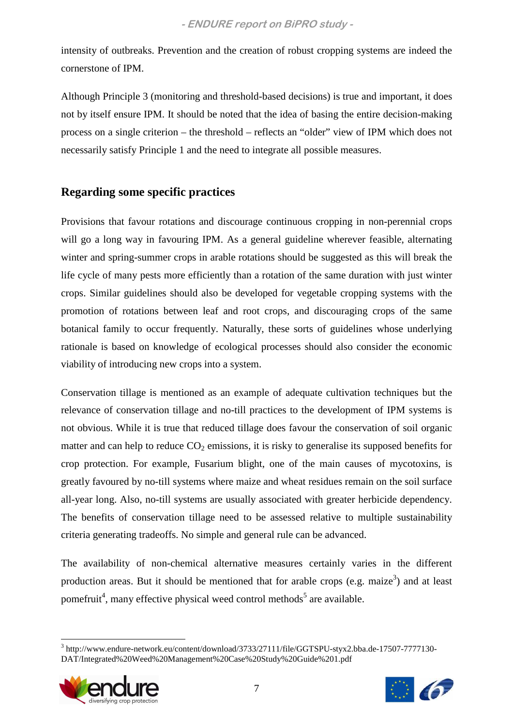intensity of outbreaks. Prevention and the creation of robust cropping systems are indeed the cornerstone of IPM.

Although Principle 3 (monitoring and threshold-based decisions) is true and important, it does not by itself ensure IPM. It should be noted that the idea of basing the entire decision-making process on a single criterion – the threshold – reflects an "older" view of IPM which does not necessarily satisfy Principle 1 and the need to integrate all possible measures.

## **Regarding some specific practices**

Provisions that favour rotations and discourage continuous cropping in non-perennial crops will go a long way in favouring IPM. As a general guideline wherever feasible, alternating winter and spring-summer crops in arable rotations should be suggested as this will break the life cycle of many pests more efficiently than a rotation of the same duration with just winter crops. Similar guidelines should also be developed for vegetable cropping systems with the promotion of rotations between leaf and root crops, and discouraging crops of the same botanical family to occur frequently. Naturally, these sorts of guidelines whose underlying rationale is based on knowledge of ecological processes should also consider the economic viability of introducing new crops into a system.

Conservation tillage is mentioned as an example of adequate cultivation techniques but the relevance of conservation tillage and no-till practices to the development of IPM systems is not obvious. While it is true that reduced tillage does favour the conservation of soil organic matter and can help to reduce  $CO<sub>2</sub>$  emissions, it is risky to generalise its supposed benefits for crop protection. For example, Fusarium blight, one of the main causes of mycotoxins, is greatly favoured by no-till systems where maize and wheat residues remain on the soil surface all-year long. Also, no-till systems are usually associated with greater herbicide dependency. The benefits of conservation tillage need to be assessed relative to multiple sustainability criteria generating tradeoffs. No simple and general rule can be advanced.

The availability of non-chemical alternative measures certainly varies in the different production areas. But it should be mentioned that for arable crops (e.g. maize<sup>3</sup>) and at least pomefruit<sup>4</sup>, many effective physical weed control methods<sup>5</sup> are available.

 $\overline{a}$ <sup>3</sup> http://www.endure-network.eu/content/download/3733/27111/file/GGTSPU-styx2.bba.de-17507-7777130-DAT/Integrated%20Weed%20Management%20Case%20Study%20Guide%201.pdf



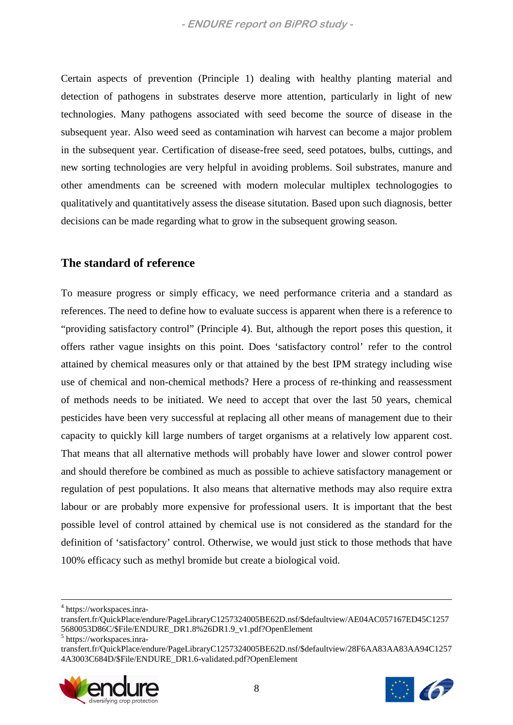Certain aspects of prevention (Principle 1) dealing with healthy planting material and detection of pathogens in substrates deserve more attention, particularly in light of new technologies. Many pathogens associated with seed become the source of disease in the subsequent year. Also weed seed as contamination wih harvest can become a major problem in the subsequent year. Certification of disease-free seed, seed potatoes, bulbs, cuttings, and new sorting technologies are very helpful in avoiding problems. Soil substrates, manure and other amendments can be screened with modern molecular multiplex technologogies to qualitatively and quantitatively assess the disease situtation. Based upon such diagnosis, better decisions can be made regarding what to grow in the subsequent growing season.

#### **The standard of reference**

To measure progress or simply efficacy, we need performance criteria and a standard as references. The need to define how to evaluate success is apparent when there is a reference to "providing satisfactory control" (Principle 4). But, although the report poses this question, it offers rather vague insights on this point. Does 'satisfactory control' refer to the control attained by chemical measures only or that attained by the best IPM strategy including wise use of chemical and non-chemical methods? Here a process of re-thinking and reassessment of methods needs to be initiated. We need to accept that over the last 50 years, chemical pesticides have been very successful at replacing all other means of management due to their capacity to quickly kill large numbers of target organisms at a relatively low apparent cost. That means that all alternative methods will probably have lower and slower control power and should therefore be combined as much as possible to achieve satisfactory management or regulation of pest populations. It also means that alternative methods may also require extra labour or are probably more expensive for professional users. It is important that the best possible level of control attained by chemical use is not considered as the standard for the definition of 'satisfactory' control. Otherwise, we would just stick to those methods that have 100% efficacy such as methyl bromide but create a biological void.

<u>.</u>

transfert.fr/QuickPlace/endure/PageLibraryC1257324005BE62D.nsf/\$defaultview/28F6AA83AA83AA94C1257 4A3003C684D/\$File/ENDURE\_DR1.6-validated.pdf?OpenElement





<sup>4</sup> https://workspaces.inra-

transfert.fr/QuickPlace/endure/PageLibraryC1257324005BE62D.nsf/\$defaultview/AE04AC057167ED45C1257 5680053D86C/\$File/ENDURE\_DR1.8%26DR1.9\_v1.pdf?OpenElement

<sup>5</sup> https://workspaces.inra-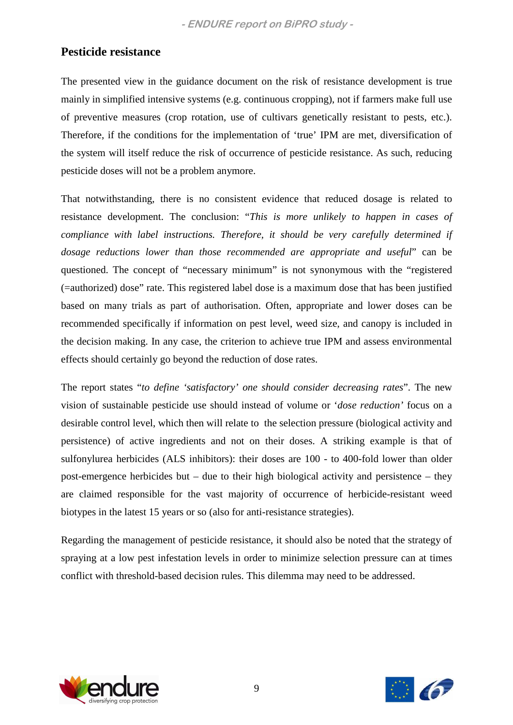## **Pesticide resistance**

The presented view in the guidance document on the risk of resistance development is true mainly in simplified intensive systems (e.g. continuous cropping), not if farmers make full use of preventive measures (crop rotation, use of cultivars genetically resistant to pests, etc.). Therefore, if the conditions for the implementation of 'true' IPM are met, diversification of the system will itself reduce the risk of occurrence of pesticide resistance. As such, reducing pesticide doses will not be a problem anymore.

That notwithstanding, there is no consistent evidence that reduced dosage is related to resistance development. The conclusion: "*This is more unlikely to happen in cases of compliance with label instructions. Therefore, it should be very carefully determined if dosage reductions lower than those recommended are appropriate and useful*" can be questioned. The concept of "necessary minimum" is not synonymous with the "registered (=authorized) dose" rate. This registered label dose is a maximum dose that has been justified based on many trials as part of authorisation. Often, appropriate and lower doses can be recommended specifically if information on pest level, weed size, and canopy is included in the decision making. In any case, the criterion to achieve true IPM and assess environmental effects should certainly go beyond the reduction of dose rates.

The report states "*to define 'satisfactory' one should consider decreasing rates*". The new vision of sustainable pesticide use should instead of volume or '*dose reduction'* focus on a desirable control level, which then will relate to the selection pressure (biological activity and persistence) of active ingredients and not on their doses. A striking example is that of sulfonylurea herbicides (ALS inhibitors): their doses are 100 - to 400-fold lower than older post-emergence herbicides but – due to their high biological activity and persistence – they are claimed responsible for the vast majority of occurrence of herbicide-resistant weed biotypes in the latest 15 years or so (also for anti-resistance strategies).

Regarding the management of pesticide resistance, it should also be noted that the strategy of spraying at a low pest infestation levels in order to minimize selection pressure can at times conflict with threshold-based decision rules. This dilemma may need to be addressed.



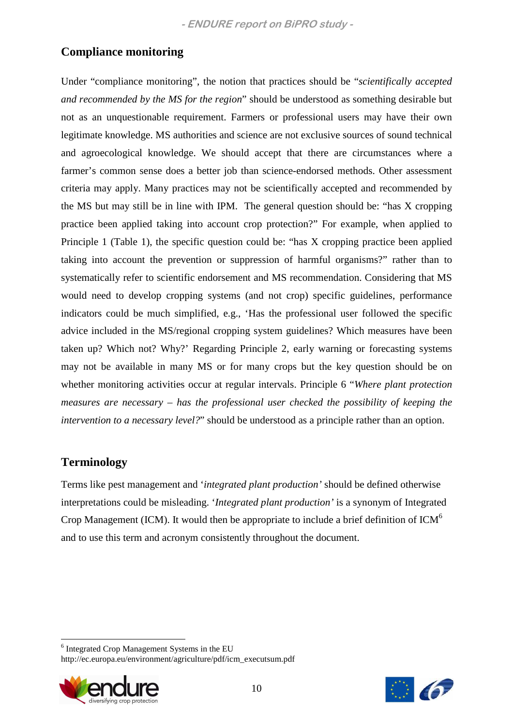## **Compliance monitoring**

Under "compliance monitoring", the notion that practices should be "*scientifically accepted and recommended by the MS for the region*" should be understood as something desirable but not as an unquestionable requirement. Farmers or professional users may have their own legitimate knowledge. MS authorities and science are not exclusive sources of sound technical and agroecological knowledge. We should accept that there are circumstances where a farmer's common sense does a better job than science-endorsed methods. Other assessment criteria may apply. Many practices may not be scientifically accepted and recommended by the MS but may still be in line with IPM. The general question should be: "has X cropping practice been applied taking into account crop protection?" For example, when applied to Principle 1 (Table 1), the specific question could be: "has X cropping practice been applied taking into account the prevention or suppression of harmful organisms?" rather than to systematically refer to scientific endorsement and MS recommendation. Considering that MS would need to develop cropping systems (and not crop) specific guidelines, performance indicators could be much simplified, e.g., 'Has the professional user followed the specific advice included in the MS/regional cropping system guidelines? Which measures have been taken up? Which not? Why?' Regarding Principle 2, early warning or forecasting systems may not be available in many MS or for many crops but the key question should be on whether monitoring activities occur at regular intervals. Principle 6 "*Where plant protection measures are necessary – has the professional user checked the possibility of keeping the intervention to a necessary level?*" should be understood as a principle rather than an option.

## **Terminology**

Terms like pest management and '*integrated plant production'* should be defined otherwise interpretations could be misleading. '*Integrated plant production'* is a synonym of Integrated Crop Management (ICM). It would then be appropriate to include a brief definition of  $ICM<sup>6</sup>$ and to use this term and acronym consistently throughout the document.

 $\overline{a}$ 6 Integrated Crop Management Systems in the EU http://ec.europa.eu/environment/agriculture/pdf/icm\_executsum.pdf



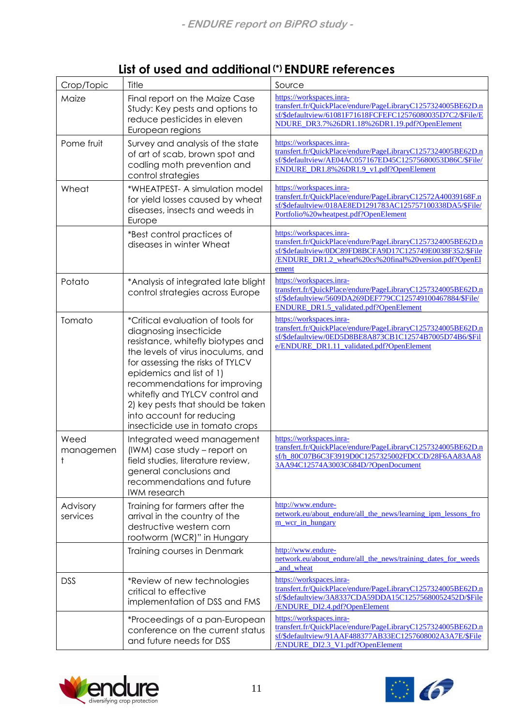| Crop/Topic           | Title                                                                                                                                                                                                                                                                                                                                                                          | Source                                                                                                                                                                                                                 |
|----------------------|--------------------------------------------------------------------------------------------------------------------------------------------------------------------------------------------------------------------------------------------------------------------------------------------------------------------------------------------------------------------------------|------------------------------------------------------------------------------------------------------------------------------------------------------------------------------------------------------------------------|
| Maize                | Final report on the Maize Case<br>Study: Key pests and options to<br>reduce pesticides in eleven<br>European regions                                                                                                                                                                                                                                                           | https://workspaces.inra-<br>transfert.fr/QuickPlace/endure/PageLibraryC1257324005BE62D.n<br>sf/\$defaultview/61081F71618FCFEFC12576080035D7C2/\$File/E<br>NDURE DR3.7%26DR1.18%26DR1.19.pdf?OpenElement                |
| Pome fruit           | Survey and analysis of the state<br>of art of scab, brown spot and<br>codling moth prevention and<br>control strategies                                                                                                                                                                                                                                                        | https://workspaces.inra-<br>transfert.fr/QuickPlace/endure/PageLibraryC1257324005BE62D.n<br>sf/\$defaultview/AE04AC057167ED45C12575680053D86C/\$File/<br>ENDURE_DR1.8%26DR1.9_v1.pdf?OpenElement                       |
| Wheat                | *WHEATPEST- A simulation model<br>for yield losses caused by wheat<br>diseases, insects and weeds in<br>Europe                                                                                                                                                                                                                                                                 | https://workspaces.inra-<br>transfert.fr/QuickPlace/endure/PageLibraryC12572A40039168F.n<br>sf/\$defaultview/018AE8ED1291783AC125757100338DA5/\$File/<br>Portfolio%20wheatpest.pdf?OpenElement                         |
|                      | *Best control practices of<br>diseases in winter Wheat                                                                                                                                                                                                                                                                                                                         | https://workspaces.inra-<br>transfert.fr/QuickPlace/endure/PageLibraryC1257324005BE62D.n<br>sf/\$defaultview/0DC89FD8BCFA9D17C125749E0038F352/\$File<br>/ENDURE_DR1.2_wheat%20cs%20final%20version.pdf?OpenEl<br>ement |
| Potato               | *Analysis of integrated late blight<br>control strategies across Europe                                                                                                                                                                                                                                                                                                        | https://workspaces.inra-<br>transfert.fr/QuickPlace/endure/PageLibraryC1257324005BE62D.n<br>sf/\$defaultview/5609DA269DEF779CC125749100467884/\$File/<br><b>ENDURE DR1.5</b> validated.pdf?OpenElement                 |
| Tomato               | *Critical evaluation of tools for<br>diagnosing insecticide<br>resistance, whitefly biotypes and<br>the levels of virus inoculums, and<br>for assessing the risks of TYLCV<br>epidemics and list of 1)<br>recommendations for improving<br>whitefly and TYLCV control and<br>2) key pests that should be taken<br>into account for reducing<br>insecticide use in tomato crops | https://workspaces.inra-<br>transfert.fr/QuickPlace/endure/PageLibraryC1257324005BE62D.n<br>sf/\$defaultview/0ED5D8BE8A873CB1C12574B7005D74B6/\$Fil<br>e/ENDURE_DR1.11_validated.pdf?OpenElement                       |
| Weed<br>managemen    | Integrated weed management<br>(IWM) case study - report on<br>field studies, literature review,<br>general conclusions and<br>recommendations and future<br><b>IWM</b> research                                                                                                                                                                                                | https://workspaces.inra-<br>transfert.fr/QuickPlace/endure/PageLibraryC1257324005BE62D.n<br>sf/h 80C07B6C3F3919D0C1257325002FDCCD/28F6AA83AA8<br>3AA94C12574A3003C684D/?OpenDocument                                   |
| Advisory<br>services | Training for farmers after the<br>arrival in the country of the<br>destructive western corn<br>rootworm (WCR)" in Hungary                                                                                                                                                                                                                                                      | http://www.endure-<br>network.eu/about endure/all the news/learning ipm lessons fro<br>m wcr in hungary                                                                                                                |
|                      | Training courses in Denmark                                                                                                                                                                                                                                                                                                                                                    | http://www.endure-<br>network.eu/about endure/all the news/training dates for weeds<br>and wheat                                                                                                                       |
| <b>DSS</b>           | *Review of new technologies<br>critical to effective<br>implementation of DSS and FMS                                                                                                                                                                                                                                                                                          | https://workspaces.inra-<br>transfert.fr/QuickPlace/endure/PageLibraryC1257324005BE62D.n<br>sf/\$defaultview/3A8337CDA59DDA15C12575680052452D/\$File<br><b>ENDURE DI2.4.pdf?OpenElement</b>                            |
|                      | *Proceedings of a pan-European<br>conference on the current status<br>and future needs for DSS                                                                                                                                                                                                                                                                                 | https://workspaces.inra-<br>transfert.fr/QuickPlace/endure/PageLibraryC1257324005BE62D.n<br>sf/\$defaultview/91AAF488377AB33EC1257608002A3A7E/\$File<br>/ENDURE_DI2.3_V1.pdf?OpenElement                               |

## List of used and additional (\*) ENDURE references